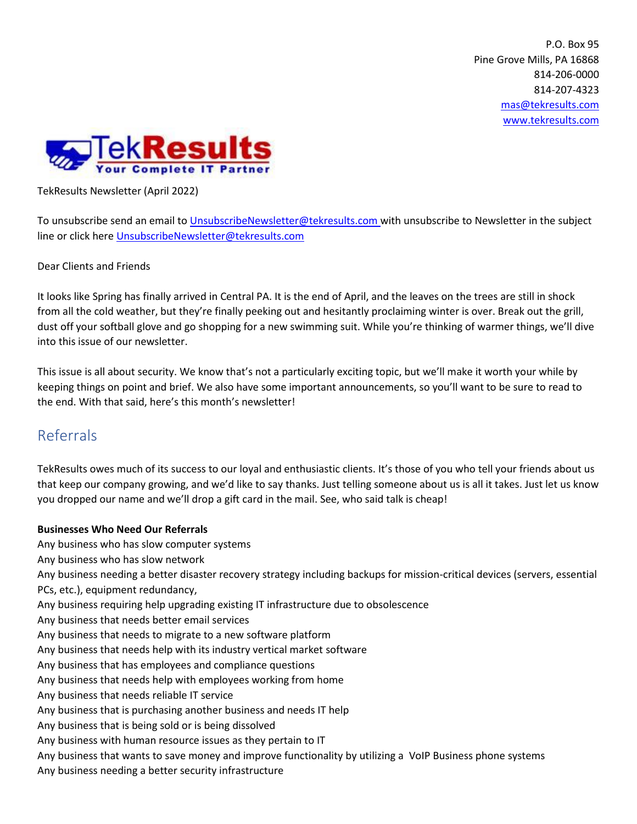P.O. Box 95 Pine Grove Mills, PA 16868 814-206-0000 814-207-4323 [mas@tekresults.com](mailto:mas@tekresults.com) [www.tekresults.com](http://www.tekresults.com/)



TekResults Newsletter (April 2022)

To unsubscribe send an email t[o UnsubscribeNewsletter@tekresults.com](mailto:UnsubscribeNewsletter@tekresults.com) with unsubscribe to Newsletter in the subject line or click here [UnsubscribeNewsletter@tekresults.com](mailto:UnsubscribeNewsletter@tekresults.com)

Dear Clients and Friends

It looks like Spring has finally arrived in Central PA. It is the end of April, and the leaves on the trees are still in shock from all the cold weather, but they're finally peeking out and hesitantly proclaiming winter is over. Break out the grill, dust off your softball glove and go shopping for a new swimming suit. While you're thinking of warmer things, we'll dive into this issue of our newsletter.

This issue is all about security. We know that's not a particularly exciting topic, but we'll make it worth your while by keeping things on point and brief. We also have some important announcements, so you'll want to be sure to read to the end. With that said, here's this month's newsletter!

# Referrals

TekResults owes much of its success to our loyal and enthusiastic clients. It's those of you who tell your friends about us that keep our company growing, and we'd like to say thanks. Just telling someone about us is all it takes. Just let us know you dropped our name and we'll drop a gift card in the mail. See, who said talk is cheap!

## **Businesses Who Need Our Referrals**

Any business who has slow computer systems

Any business who has slow network

Any business needing a better disaster recovery strategy including backups for mission-critical devices (servers, essential PCs, etc.), equipment redundancy,

- Any business requiring help upgrading existing IT infrastructure due to obsolescence
- Any business that needs better email services
- Any business that needs to migrate to a new software platform
- Any business that needs help with its industry vertical market software

Any business that has employees and compliance questions

- Any business that needs help with employees working from home
- Any business that needs reliable IT service
- Any business that is purchasing another business and needs IT help
- Any business that is being sold or is being dissolved
- Any business with human resource issues as they pertain to IT
- Any business that wants to save money and improve functionality by utilizing a VoIP Business phone systems
- Any business needing a better security infrastructure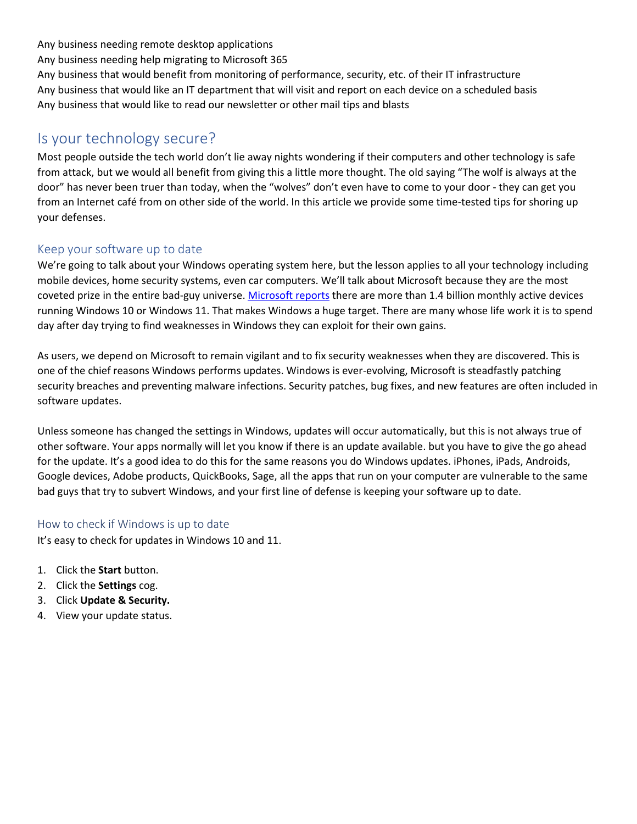Any business needing remote desktop applications

Any business needing help migrating to Microsoft 365

Any business that would benefit from monitoring of performance, security, etc. of their IT infrastructure Any business that would like an IT department that will visit and report on each device on a scheduled basis Any business that would like to read our newsletter or other mail tips and blasts

# Is your technology secure?

Most people outside the tech world don't lie away nights wondering if their computers and other technology is safe from attack, but we would all benefit from giving this a little more thought. The old saying "The wolf is always at the door" has never been truer than today, when the "wolves" don't even have to come to your door - they can get you from an Internet café from on other side of the world. In this article we provide some time-tested tips for shoring up your defenses.

# Keep your software up to date

We're going to talk about your Windows operating system here, but the lesson applies to all your technology including mobile devices, home security systems, even car computers. We'll talk about Microsoft because they are the most coveted prize in the entire bad-guy universe. [Microsoft reports](https://news.microsoft.com/bythenumbers/en/windowsdevices) there are more than 1.4 billion monthly active devices running Windows 10 or Windows 11. That makes Windows a huge target. There are many whose life work it is to spend day after day trying to find weaknesses in Windows they can exploit for their own gains.

As users, we depend on Microsoft to remain vigilant and to fix security weaknesses when they are discovered. This is one of the chief reasons Windows performs updates. Windows is ever-evolving, Microsoft is steadfastly patching security breaches and preventing malware infections. Security patches, bug fixes, and new features are often included in software updates.

Unless someone has changed the settings in Windows, updates will occur automatically, but this is not always true of other software. Your apps normally will let you know if there is an update available. but you have to give the go ahead for the update. It's a good idea to do this for the same reasons you do Windows updates. iPhones, iPads, Androids, Google devices, Adobe products, QuickBooks, Sage, all the apps that run on your computer are vulnerable to the same bad guys that try to subvert Windows, and your first line of defense is keeping your software up to date.

# How to check if Windows is up to date

It's easy to check for updates in Windows 10 and 11.

- 1. Click the **Start** button.
- 2. Click the **Settings** cog.
- 3. Click **Update & Security.**
- 4. View your update status.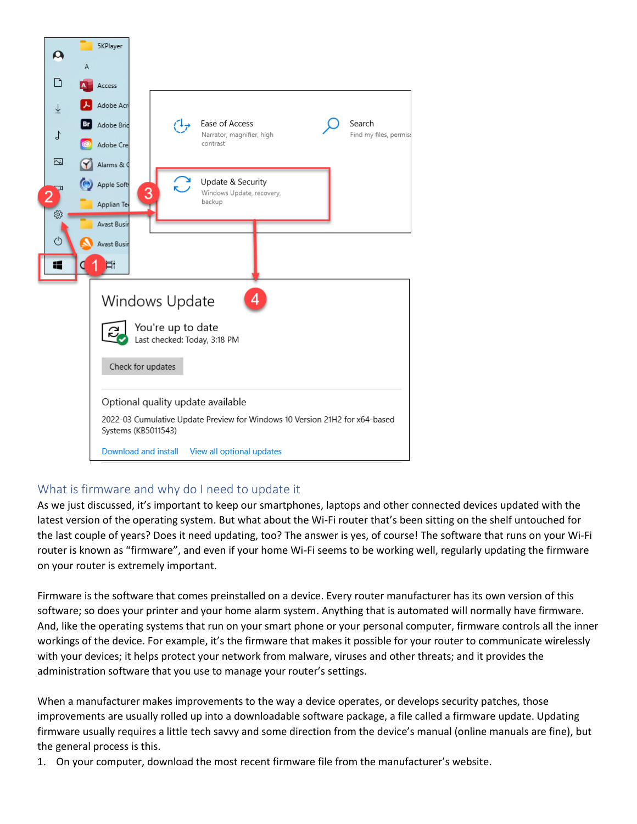

# What is firmware and why do I need to update it

As we just discussed, it's important to keep our smartphones, laptops and other connected devices updated with the latest version of the operating system. But what about the Wi-Fi router that's been sitting on the shelf untouched for the last couple of years? Does it need updating, too? The answer is yes, of course! The software that runs on your Wi-Fi router is known as "firmware", and even if your home Wi-Fi seems to be working well, regularly updating the firmware on your router is extremely important.

Firmware is the software that comes preinstalled on a device. Every router manufacturer has its own version of this software; so does your printer and your home alarm system. Anything that is automated will normally have firmware. And, like the operating systems that run on your smart phone or your personal computer, firmware controls all the inner workings of the device. For example, it's the firmware that makes it possible for your router to communicate wirelessly with your devices; it helps protect your network from malware, viruses and other threats; and it provides the administration software that you use to manage your router's settings.

When a manufacturer makes improvements to the way a device operates, or develops security patches, those improvements are usually rolled up into a downloadable software package, a file called a firmware update. Updating firmware usually requires a little tech savvy and some direction from the device's manual (online manuals are fine), but the general process is this.

1. On your computer, download the most recent firmware file from the manufacturer's website.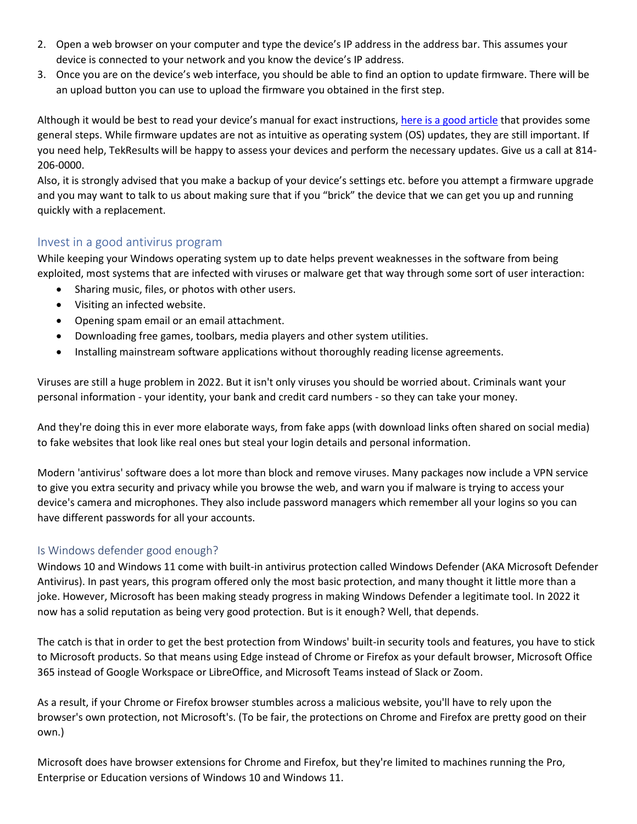- 2. Open a web browser on your computer and type the device's IP address in the address bar. This assumes your device is connected to your network and you know the device's IP address.
- 3. Once you are on the device's web interface, you should be able to find an option to update firmware. There will be an upload button you can use to upload the firmware you obtained in the first step.

Although it would be best to read your device's manual for exact instructions, [here is a good article](https://www.digitalcitizen.life/how-update-firmware-any-device-6-steps/#ftoc-heading-6) that provides some general steps. While firmware updates are not as intuitive as operating system (OS) updates, they are still important. If you need help, TekResults will be happy to assess your devices and perform the necessary updates. Give us a call at 814- 206-0000.

Also, it is strongly advised that you make a backup of your device's settings etc. before you attempt a firmware upgrade and you may want to talk to us about making sure that if you "brick" the device that we can get you up and running quickly with a replacement.

# Invest in a good antivirus program

While keeping your Windows operating system up to date helps prevent weaknesses in the software from being exploited, most systems that are infected with viruses or malware get that way through some sort of user interaction:

- Sharing music, files, or photos with other users.
- Visiting an infected website.
- Opening spam email or an email attachment.
- Downloading free games, toolbars, media players and other system utilities.
- Installing mainstream software applications without thoroughly reading license agreements.

Viruses are still a huge problem in 2022. But it isn't only viruses you should be worried about. Criminals want your personal information - your identity, your bank and credit card numbers - so they can take your money.

And they're doing this in ever more elaborate ways, from fake apps (with download links often shared on social media) to fake websites that look like real ones but steal your login details and personal information.

Modern 'antivirus' software does a lot more than block and remove viruses. Many packages now include a VPN service to give you extra security and privacy while you browse the web, and warn you if malware is trying to access your device's camera and microphones. They also include password managers which remember all your logins so you can have different passwords for all your accounts.

## Is Windows defender good enough?

Windows 10 and Windows 11 come with built-in antivirus protection called Windows Defender (AKA Microsoft Defender Antivirus). In past years, this program offered only the most basic protection, and many thought it little more than a joke. However, Microsoft has been making steady progress in making Windows Defender a legitimate tool. In 2022 it now has a solid reputation as being very good protection. But is it enough? Well, that depends.

The catch is that in order to get the best protection from Windows' built-in security tools and features, you have to stick to Microsoft products. So that means using Edge instead of Chrome or Firefox as your default browser, Microsoft Office 365 instead of Google Workspace or LibreOffice, and Microsoft Teams instead of Slack or Zoom.

As a result, if your Chrome or Firefox browser stumbles across a malicious website, you'll have to rely upon the browser's own protection, not Microsoft's. (To be fair, the protections on Chrome and Firefox are pretty good on their own.)

Microsoft does have browser extensions for Chrome and Firefox, but they're limited to machines running the Pro, Enterprise or Education versions of Windows 10 and Windows 11.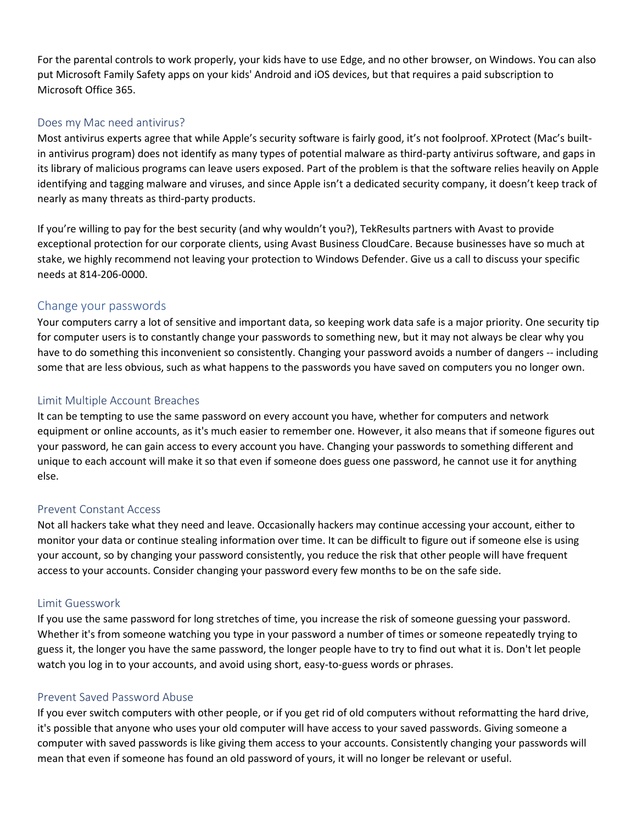For the parental controls to work properly, your kids have to use Edge, and no other browser, on Windows. You can also put Microsoft Family Safety apps on your kids' Android and iOS devices, but that requires a paid subscription to Microsoft Office 365.

## Does my Mac need antivirus?

Most antivirus experts agree that while Apple's security software is fairly good, it's not foolproof. XProtect (Mac's builtin antivirus program) does not identify as many types of potential malware as third-party antivirus software, and gaps in its library of malicious programs can leave users exposed. Part of the problem is that the software relies heavily on Apple identifying and tagging malware and viruses, and since Apple isn't a dedicated security company, it doesn't keep track of nearly as many threats as third-party products.

If you're willing to pay for the best security (and why wouldn't you?), TekResults partners with Avast to provide exceptional protection for our corporate clients, using Avast Business CloudCare. Because businesses have so much at stake, we highly recommend not leaving your protection to Windows Defender. Give us a call to discuss your specific needs at 814-206-0000.

## Change your passwords

Your computers carry a lot of sensitive and important data, so keeping work data safe is a major priority. One security tip for computer users is to constantly change your passwords to something new, but it may not always be clear why you have to do something this inconvenient so consistently. Changing your password avoids a number of dangers -- including some that are less obvious, such as what happens to the passwords you have saved on computers you no longer own.

#### Limit Multiple Account Breaches

It can be tempting to use the same password on every account you have, whether for computers and network equipment or online accounts, as it's much easier to remember one. However, it also means that if someone figures out your password, he can gain access to every account you have. Changing your passwords to something different and unique to each account will make it so that even if someone does guess one password, he cannot use it for anything else.

## Prevent Constant Access

Not all hackers take what they need and leave. Occasionally hackers may continue accessing your account, either to monitor your data or continue stealing information over time. It can be difficult to figure out if someone else is using your account, so by changing your password consistently, you reduce the risk that other people will have frequent access to your accounts. Consider changing your password every few months to be on the safe side.

#### Limit Guesswork

If you use the same password for long stretches of time, you increase the risk of someone guessing your password. Whether it's from someone watching you type in your password a number of times or someone repeatedly trying to guess it, the longer you have the same password, the longer people have to try to find out what it is. Don't let people watch you log in to your accounts, and avoid using short, easy-to-guess words or phrases.

#### Prevent Saved Password Abuse

If you ever switch computers with other people, or if you get rid of old computers without reformatting the hard drive, it's possible that anyone who uses your old computer will have access to your saved passwords. Giving someone a computer with saved passwords is like giving them access to your accounts. Consistently changing your passwords will mean that even if someone has found an old password of yours, it will no longer be relevant or useful.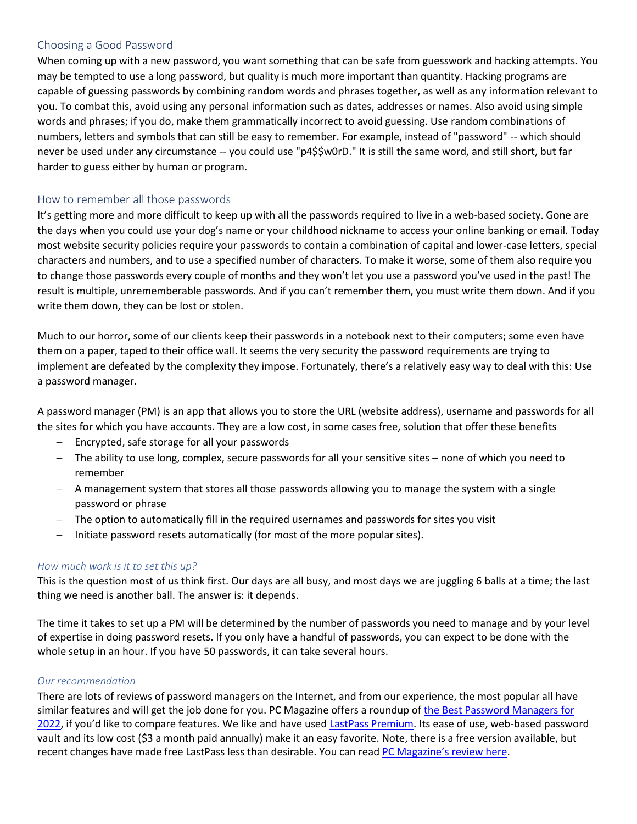## Choosing a Good Password

When coming up with a new password, you want something that can be safe from guesswork and hacking attempts. You may be tempted to use a long password, but quality is much more important than quantity. Hacking programs are capable of guessing passwords by combining random words and phrases together, as well as any information relevant to you. To combat this, avoid using any personal information such as dates, addresses or names. Also avoid using simple words and phrases; if you do, make them grammatically incorrect to avoid guessing. Use random combinations of numbers, letters and symbols that can still be easy to remember. For example, instead of "password" -- which should never be used under any circumstance -- you could use "p4\$\$w0rD." It is still the same word, and still short, but far harder to guess either by human or program.

## How to remember all those passwords

It's getting more and more difficult to keep up with all the passwords required to live in a web-based society. Gone are the days when you could use your dog's name or your childhood nickname to access your online banking or email. Today most website security policies require your passwords to contain a combination of capital and lower-case letters, special characters and numbers, and to use a specified number of characters. To make it worse, some of them also require you to change those passwords every couple of months and they won't let you use a password you've used in the past! The result is multiple, unrememberable passwords. And if you can't remember them, you must write them down. And if you write them down, they can be lost or stolen.

Much to our horror, some of our clients keep their passwords in a notebook next to their computers; some even have them on a paper, taped to their office wall. It seems the very security the password requirements are trying to implement are defeated by the complexity they impose. Fortunately, there's a relatively easy way to deal with this: Use a password manager.

A password manager (PM) is an app that allows you to store the URL (website address), username and passwords for all the sites for which you have accounts. They are a low cost, in some cases free, solution that offer these benefits

- Encrypted, safe storage for all your passwords
- − The ability to use long, complex, secure passwords for all your sensitive sites none of which you need to remember
- − A management system that stores all those passwords allowing you to manage the system with a single password or phrase
- − The option to automatically fill in the required usernames and passwords for sites you visit
- − Initiate password resets automatically (for most of the more popular sites).

#### *How much work is it to set this up?*

This is the question most of us think first. Our days are all busy, and most days we are juggling 6 balls at a time; the last thing we need is another ball. The answer is: it depends.

The time it takes to set up a PM will be determined by the number of passwords you need to manage and by your level of expertise in doing password resets. If you only have a handful of passwords, you can expect to be done with the whole setup in an hour. If you have 50 passwords, it can take several hours.

#### *Our recommendation*

There are lots of reviews of password managers on the Internet, and from our experience, the most popular all have similar features and will get the job done for you. PC Magazine offers a roundup o[f the Best Password Managers for](https://www.pcmag.com/picks/the-best-password-managers)  [2022](https://www.pcmag.com/picks/the-best-password-managers), if you'd like to compare features. We like and have used [LastPass Premium.](https://www.lastpass.com/) Its ease of use, web-based password vault and its low cost (\$3 a month paid annually) make it an easy favorite. Note, there is a free version available, but recent changes have made free LastPass less than desirable. You can read [PC Magazine's review here](https://www.pcmag.com/reviews/lastpass).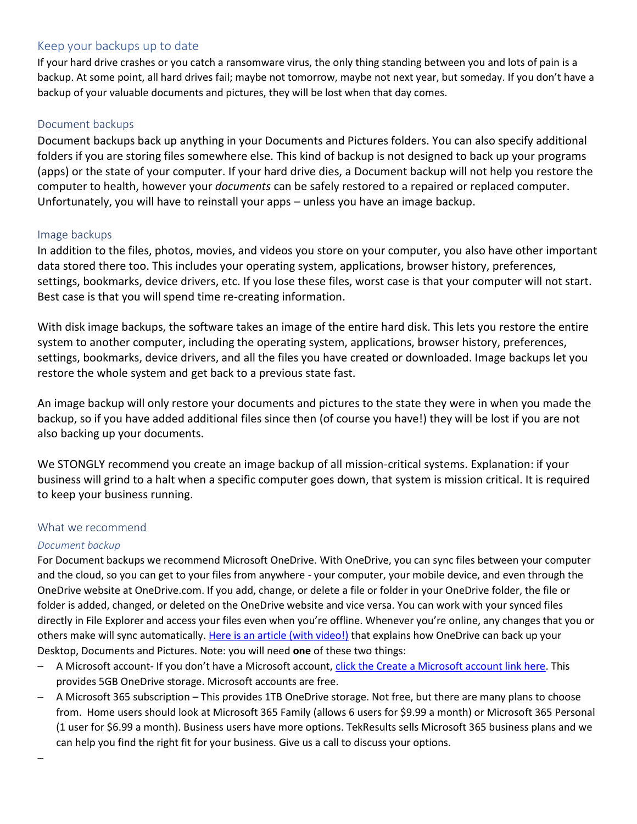# Keep your backups up to date

If your hard drive crashes or you catch a ransomware virus, the only thing standing between you and lots of pain is a backup. At some point, all hard drives fail; maybe not tomorrow, maybe not next year, but someday. If you don't have a backup of your valuable documents and pictures, they will be lost when that day comes.

### Document backups

Document backups back up anything in your Documents and Pictures folders. You can also specify additional folders if you are storing files somewhere else. This kind of backup is not designed to back up your programs (apps) or the state of your computer. If your hard drive dies, a Document backup will not help you restore the computer to health, however your *documents* can be safely restored to a repaired or replaced computer. Unfortunately, you will have to reinstall your apps – unless you have an image backup.

## Image backups

In addition to the files, photos, movies, and videos you store on your computer, you also have other important data stored there too. This includes your operating system, applications, browser history, preferences, settings, bookmarks, device drivers, etc. If you lose these files, worst case is that your computer will not start. Best case is that you will spend time re-creating information.

With disk image backups, the software takes an image of the entire hard disk. This lets you restore the entire system to another computer, including the operating system, applications, browser history, preferences, settings, bookmarks, device drivers, and all the files you have created or downloaded. Image backups let you restore the whole system and get back to a previous state fast.

An image backup will only restore your documents and pictures to the state they were in when you made the backup, so if you have added additional files since then (of course you have!) they will be lost if you are not also backing up your documents.

We STONGLY recommend you create an image backup of all mission-critical systems. Explanation: if your business will grind to a halt when a specific computer goes down, that system is mission critical. It is required to keep your business running.

## What we recommend

## *Document backup*

For Document backups we recommend Microsoft OneDrive. With OneDrive, you can sync files between your computer and the cloud, so you can get to your files from anywhere - your computer, your mobile device, and even through the OneDrive website at OneDrive.com. If you add, change, or delete a file or folder in your OneDrive folder, the file or folder is added, changed, or deleted on the OneDrive website and vice versa. You can work with your synced files directly in File Explorer and access your files even when you're offline. Whenever you're online, any changes that you or others make will sync automatically. [Here is an article \(with video!\)](https://support.microsoft.com/en-us/office/back-up-your-documents-pictures-and-desktop-folders-with-onedrive-d61a7930-a6fb-4b95-b28a-6552e77c3057) that explains how OneDrive can back up your Desktop, Documents and Pictures. Note: you will need **one** of these two things:

- − A Microsoft account- If you don't have a Microsoft account, [click the Create a Microsoft account link here.](https://account.microsoft.com/account?lang=en-us) This provides 5GB OneDrive storage. Microsoft accounts are free.
- − A Microsoft 365 subscription This provides 1TB OneDrive storage. Not free, but there are many plans to choose from. Home users should look at Microsoft 365 Family (allows 6 users for \$9.99 a month) or Microsoft 365 Personal (1 user for \$6.99 a month). Business users have more options. TekResults sells Microsoft 365 business plans and we can help you find the right fit for your business. Give us a call to discuss your options.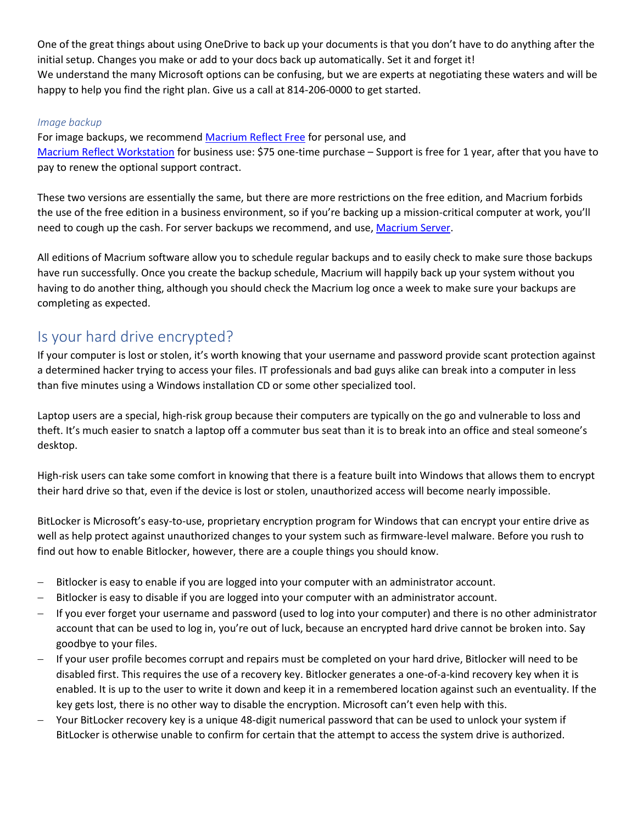One of the great things about using OneDrive to back up your documents is that you don't have to do anything after the initial setup. Changes you make or add to your docs back up automatically. Set it and forget it! We understand the many Microsoft options can be confusing, but we are experts at negotiating these waters and will be happy to help you find the right plan. Give us a call at 814-206-0000 to get started.

### *Image backup*

For image backups, we recommend [Macrium Reflect Free](https://www.macrium.com/reflectfree?mo) for personal use, and [Macrium Reflect Workstation](https://www.macrium.com/products/business/standalone/workstation) for business use: \$75 one-time purchase – Support is free for 1 year, after that you have to pay to renew the optional support contract.

These two versions are essentially the same, but there are more restrictions on the free edition, and Macrium forbids the use of the free edition in a business environment, so if you're backing up a mission-critical computer at work, you'll need to cough up the cash. For server backups we recommend, and use[, Macrium Server.](https://www.macrium.com/products/business/standalone/server)

All editions of Macrium software allow you to schedule regular backups and to easily check to make sure those backups have run successfully. Once you create the backup schedule, Macrium will happily back up your system without you having to do another thing, although you should check the Macrium log once a week to make sure your backups are completing as expected.

# Is your hard drive encrypted?

If your computer is lost or stolen, it's worth knowing that your username and password provide scant protection against a determined hacker trying to access your files. IT professionals and bad guys alike can break into a computer in less than five minutes using a Windows installation CD or some other specialized tool.

Laptop users are a special, high-risk group because their computers are typically on the go and vulnerable to loss and theft. It's much easier to snatch a laptop off a commuter bus seat than it is to break into an office and steal someone's desktop.

High-risk users can take some comfort in knowing that there is a feature built into Windows that allows them to encrypt their hard drive so that, even if the device is lost or stolen, unauthorized access will become nearly impossible.

BitLocker is Microsoft's easy-to-use, proprietary encryption program for Windows that can encrypt your entire drive as well as help protect against unauthorized changes to your system such as firmware-level malware. Before you rush to find out how to enable Bitlocker, however, there are a couple things you should know.

- Bitlocker is easy to enable if you are logged into your computer with an administrator account.
- Bitlocker is easy to disable if you are logged into your computer with an administrator account.
- − If you ever forget your username and password (used to log into your computer) and there is no other administrator account that can be used to log in, you're out of luck, because an encrypted hard drive cannot be broken into. Say goodbye to your files.
- − If your user profile becomes corrupt and repairs must be completed on your hard drive, Bitlocker will need to be disabled first. This requires the use of a recovery key. Bitlocker generates a one-of-a-kind recovery key when it is enabled. It is up to the user to write it down and keep it in a remembered location against such an eventuality. If the key gets lost, there is no other way to disable the encryption. Microsoft can't even help with this.
- − Your BitLocker recovery key is a unique 48-digit numerical password that can be used to unlock your system if BitLocker is otherwise unable to confirm for certain that the attempt to access the system drive is authorized.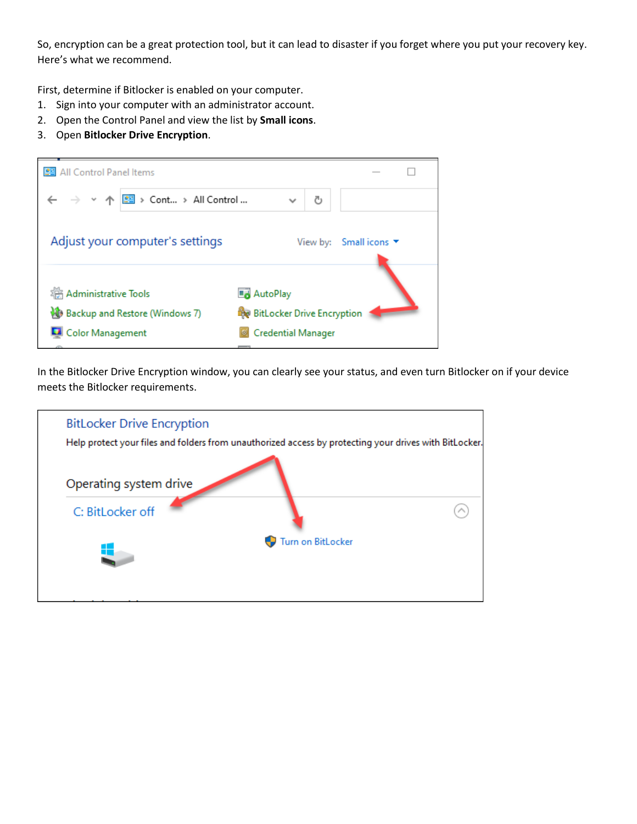So, encryption can be a great protection tool, but it can lead to disaster if you forget where you put your recovery key. Here's what we recommend.

First, determine if Bitlocker is enabled on your computer.

- 1. Sign into your computer with an administrator account.
- 2. Open the Control Panel and view the list by **Small icons**.
- 3. Open **Bitlocker Drive Encryption**.



In the Bitlocker Drive Encryption window, you can clearly see your status, and even turn Bitlocker on if your device meets the Bitlocker requirements.

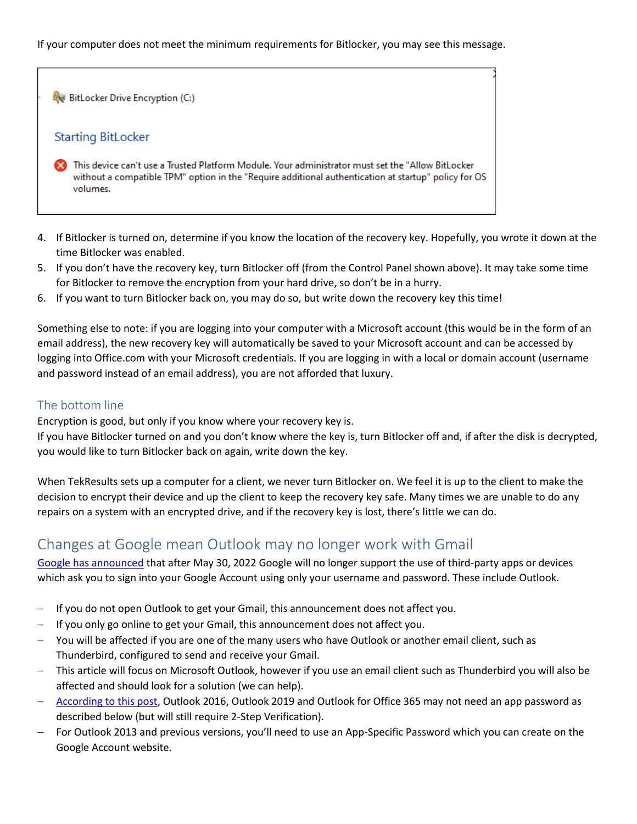#### If your computer does not meet the minimum requirements for Bitlocker, you may see this message.

BitLocker Drive Encryption (C:) **Starting BitLocker** This device can't use a Trusted Platform Module. Your administrator must set the "Allow BitLocker without a compatible TPM" option in the "Require additional authentication at startup" policy for OS volumes.

- 4. If Bitlocker is turned on, determine if you know the location of the recovery key. Hopefully, you wrote it down at the time Bitlocker was enabled.
- 5. If you don't have the recovery key, turn Bitlocker off (from the Control Panel shown above). It may take some time for Bitlocker to remove the encryption from your hard drive, so don't be in a hurry.
- 6. If you want to turn Bitlocker back on, you may do so, but write down the recovery key this time!

Something else to note: if you are logging into your computer with a Microsoft account (this would be in the form of an email address), the new recovery key will automatically be saved to your Microsoft account and can be accessed by logging into Office.com with your Microsoft credentials. If you are logging in with a local or domain account (username and password instead of an email address), you are not afforded that luxury.

# The bottom line

Encryption is good, but only if you know where your recovery key is.

If you have Bitlocker turned on and you don't know where the key is, turn Bitlocker off and, if after the disk is decrypted, you would like to turn Bitlocker back on again, write down the key.

When TekResults sets up a computer for a client, we never turn Bitlocker on. We feel it is up to the client to make the decision to encrypt their device and up the client to keep the recovery key safe. Many times we are unable to do any repairs on a system with an encrypted drive, and if the recovery key is lost, there's little we can do.

# Changes at Google mean Outlook may no longer work with Gmail

[Google has announced](https://support.google.com/accounts/answer/6010255?rfn=1646361360139&anexp=nret-fa&pli=1) that after May 30, 2022 Google will no longer support the use of third-party apps or devices which ask you to sign into your Google Account using only your username and password. These include Outlook.

- − If you do not open Outlook to get your Gmail, this announcement does not affect you.
- − If you only go online to get your Gmail, this announcement does not affect you.
- − You will be affected if you are one of the many users who have Outlook or another email client, such as Thunderbird, configured to send and receive your Gmail.
- − This article will focus on Microsoft Outlook, however if you use an email client such as Thunderbird you will also be affected and should look for a solution (we can help).
- − [According to this post,](https://www.msoutlook.info/question/902) Outlook 2016, Outlook 2019 and Outlook for Office 365 may not need an app password as described below (but will still require 2-Step Verification).
- − For Outlook 2013 and previous versions, you'll need to use an App-Specific Password which you can create on the Google Account website.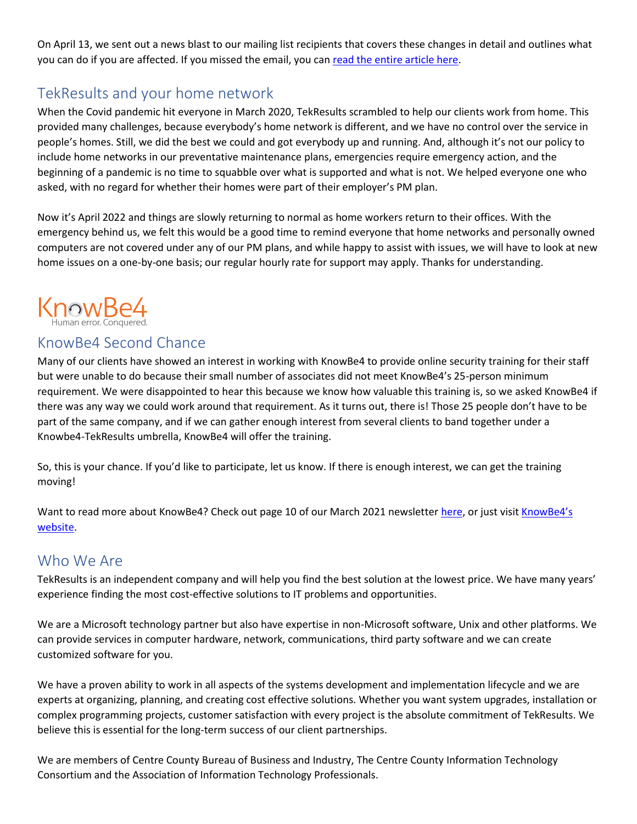On April 13, we sent out a news blast to our mailing list recipients that covers these changes in detail and outlines what you can do if you are affected. If you missed the email, you can [read the entire article here.](https://www.tekresults.com/i01-google-2fa)

# TekResults and your home network

When the Covid pandemic hit everyone in March 2020, TekResults scrambled to help our clients work from home. This provided many challenges, because everybody's home network is different, and we have no control over the service in people's homes. Still, we did the best we could and got everybody up and running. And, although it's not our policy to include home networks in our preventative maintenance plans, emergencies require emergency action, and the beginning of a pandemic is no time to squabble over what is supported and what is not. We helped everyone one who asked, with no regard for whether their homes were part of their employer's PM plan.

Now it's April 2022 and things are slowly returning to normal as home workers return to their offices. With the emergency behind us, we felt this would be a good time to remind everyone that home networks and personally owned computers are not covered under any of our PM plans, and while happy to assist with issues, we will have to look at new home issues on a one-by-one basis; our regular hourly rate for support may apply. Thanks for understanding.



# KnowBe4 Second Chance

Many of our clients have showed an interest in working with KnowBe4 to provide online security training for their staff but were unable to do because their small number of associates did not meet KnowBe4's 25-person minimum requirement. We were disappointed to hear this because we know how valuable this training is, so we asked KnowBe4 if there was any way we could work around that requirement. As it turns out, there is! Those 25 people don't have to be part of the same company, and if we can gather enough interest from several clients to band together under a Knowbe4-TekResults umbrella, KnowBe4 will offer the training.

So, this is your chance. If you'd like to participate, let us know. If there is enough interest, we can get the training moving!

Want to read more about KnowBe4? Check out page 10 of our March 2021 newsletter [here,](https://www.tekresults.com/march-2021) or just visit KnowBe4's [website.](http://www.knowbe4.com/)

# Who We Are

TekResults is an independent company and will help you find the best solution at the lowest price. We have many years' experience finding the most cost-effective solutions to IT problems and opportunities.

We are a Microsoft technology partner but also have expertise in non-Microsoft software, Unix and other platforms. We can provide services in computer hardware, network, communications, third party software and we can create customized software for you.

We have a proven ability to work in all aspects of the systems development and implementation lifecycle and we are experts at organizing, planning, and creating cost effective solutions. Whether you want system upgrades, installation or complex programming projects, customer satisfaction with every project is the absolute commitment of TekResults. We believe this is essential for the long-term success of our client partnerships.

We are members of Centre County Bureau of Business and Industry, The Centre County Information Technology Consortium and the Association of Information Technology Professionals.